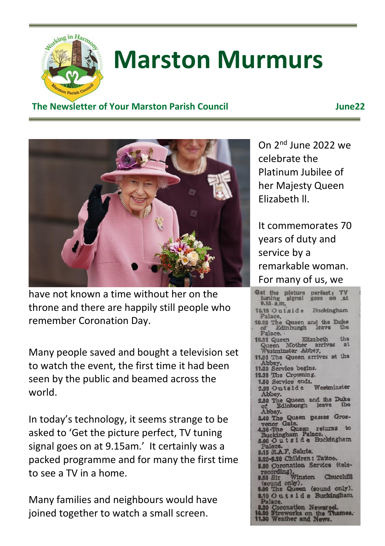

# **Marston Murmurs**

#### **The Newsletter of Your Marston Parish Council June22**



have not known a time without her on the throne and there are happily still people who remember Coronation Day.

Many people saved and bought a television set to watch the event, the first time it had been seen by the public and beamed across the world.

In today's technology, it seems strange to be asked to 'Get the picture perfect, TV tuning signal goes on at 9.15am.' It certainly was a packed programme and for many the first time to see a TV in a home.

Many families and neighbours would have joined together to watch a small screen.

On 2nd June 2022 we celebrate the Platinum Jubilee of her Majesty Queen Elizabeth ll.

It commemorates 70 years of duty and service by a remarkable woman. For many of us, we

Get the pleture perfect: TV tuning signal goes on at Buckingham 10.15 Outside Palace, 10.28 The Queen and the Duke Palace. 10.32 Queen Elizabeth  $4h<sub>n</sub>$ Queen Mother antives<br>Westminster Abbey,  $p<sub>t</sub>$ 11.00 The Queen arrives at the 11,00 The Queen arm<br>Abbey.<br>11.20 Service begins.<br>12.30 The Crowning. 12.30 The Crowning. 2.30 The Crowning.<br>1.50 Service ends.<br>2.20 Outside Westminster Abbey. 2.50 The Queen and the Duke<br>of Edinburgh leave the Abbey. 40 The Queen passes Grosenor Gate.<br>Che Queen returns to<br>Mckingham Palace.<br>O O u t s i d e Buckingham alan 5.15 R.A.F. Salute. 5.20-6.20 Children: Tattoo. 8.00 Coronation Service (tele-00 Coronation Ser<br>ecording),<br>55 Sir Winston<br>sound only), Churchill und only).<br>The Queen (sound only). 0.10 Outside Buckingham Palace.<br>20 Coronation Newsreel.<br>20 Fireworks on the Thames.<br>30 Weather and News.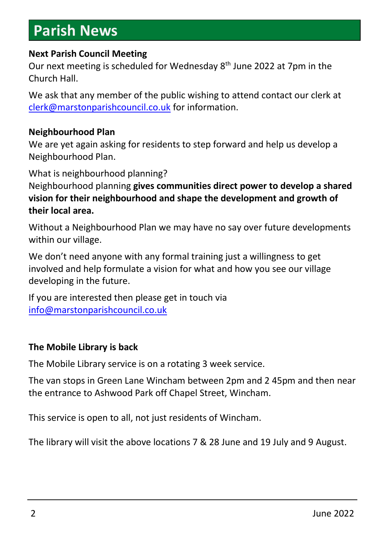### **Parish News**

#### **Next Parish Council Meeting**

Our next meeting is scheduled for Wednesday 8 th June 2022 at 7pm in the Church Hall.

We ask that any member of the public wishing to attend contact our clerk at [clerk@marstonparishcouncil.co.uk](mailto:clerk@marstonparishcouncil.co.uk) for information.

#### **Neighbourhood Plan**

We are yet again asking for residents to step forward and help us develop a Neighbourhood Plan.

What is neighbourhood planning?

Neighbourhood planning **gives communities direct power to develop a shared vision for their neighbourhood and shape the development and growth of their local area.** 

Without a Neighbourhood Plan we may have no say over future developments within our village.

We don't need anyone with any formal training just a willingness to get involved and help formulate a vision for what and how you see our village developing in the future.

If you are interested then please get in touch via [info@marstonparishcouncil.co.uk](mailto:info@marstonparishcouncil.co.uk)

#### **The Mobile Library is back**

The Mobile Library service is on a rotating 3 week service.

The van stops in Green Lane Wincham between 2pm and 2 45pm and then near the entrance to Ashwood Park off Chapel Street, Wincham.

This service is open to all, not just residents of Wincham.

The library will visit the above locations 7 & 28 June and 19 July and 9 August.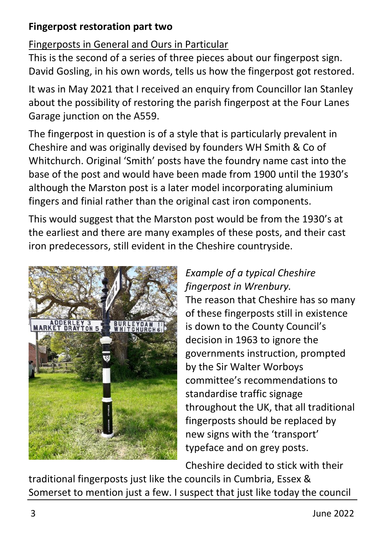#### **Fingerpost restoration part two**

### Fingerposts in General and Ours in Particular

This is the second of a series of three pieces about our fingerpost sign. David Gosling, in his own words, tells us how the fingerpost got restored.

It was in May 2021 that I received an enquiry from Councillor Ian Stanley about the possibility of restoring the parish fingerpost at the Four Lanes Garage junction on the A559.

The fingerpost in question is of a style that is particularly prevalent in Cheshire and was originally devised by founders WH Smith & Co of Whitchurch. Original 'Smith' posts have the foundry name cast into the base of the post and would have been made from 1900 until the 1930's although the Marston post is a later model incorporating aluminium fingers and finial rather than the original cast iron components.

This would suggest that the Marston post would be from the 1930's at the earliest and there are many examples of these posts, and their cast iron predecessors, still evident in the Cheshire countryside.



#### *Example of a typical Cheshire fingerpost in Wrenbury.*

The reason that Cheshire has so many of these fingerposts still in existence is down to the County Council's decision in 1963 to ignore the governments instruction, prompted by the Sir Walter Worboys committee's recommendations to standardise traffic signage throughout the UK, that all traditional fingerposts should be replaced by new signs with the 'transport' typeface and on grey posts.

Cheshire decided to stick with their

traditional fingerposts just like the councils in Cumbria, Essex & Somerset to mention just a few. I suspect that just like today the council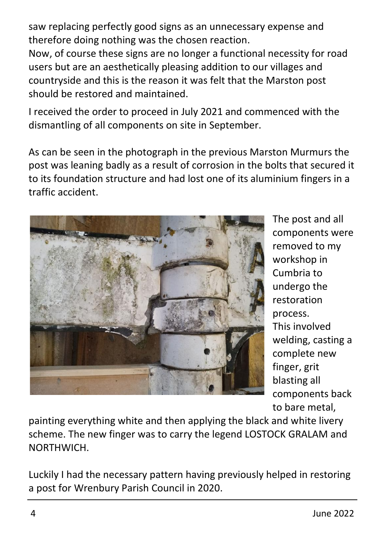saw replacing perfectly good signs as an unnecessary expense and therefore doing nothing was the chosen reaction.

Now, of course these signs are no longer a functional necessity for road users but are an aesthetically pleasing addition to our villages and countryside and this is the reason it was felt that the Marston post should be restored and maintained.

I received the order to proceed in July 2021 and commenced with the dismantling of all components on site in September.

As can be seen in the photograph in the previous Marston Murmurs the post was leaning badly as a result of corrosion in the bolts that secured it to its foundation structure and had lost one of its aluminium fingers in a traffic accident.



The post and all components were removed to my workshop in Cumbria to undergo the restoration process. This involved welding, casting a complete new finger, grit blasting all components back to bare metal,

painting everything white and then applying the black and white livery scheme. The new finger was to carry the legend LOSTOCK GRALAM and NORTHWICH.

Luckily I had the necessary pattern having previously helped in restoring a post for Wrenbury Parish Council in 2020.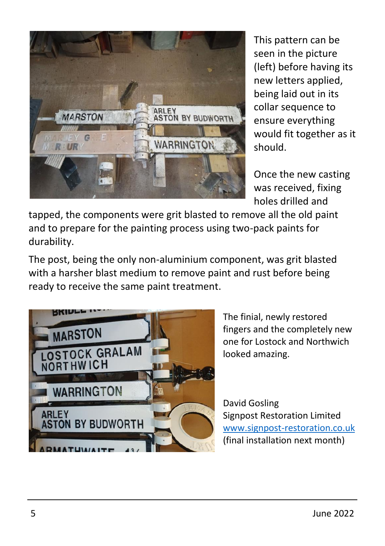

This pattern can be seen in the picture (left) before having its new letters applied, being laid out in its collar sequence to ensure everything would fit together as it should.

Once the new casting was received, fixing holes drilled and

tapped, the components were grit blasted to remove all the old paint and to prepare for the painting process using two-pack paints for durability.

The post, being the only non-aluminium component, was grit blasted with a harsher blast medium to remove paint and rust before being ready to receive the same paint treatment.



The finial, newly restored fingers and the completely new one for Lostock and Northwich looked amazing.

David Gosling Signpost Restoration Limited [www.signpost-restoration.co.uk](http://www.signpost-restoration.co.uk/) (final installation next month)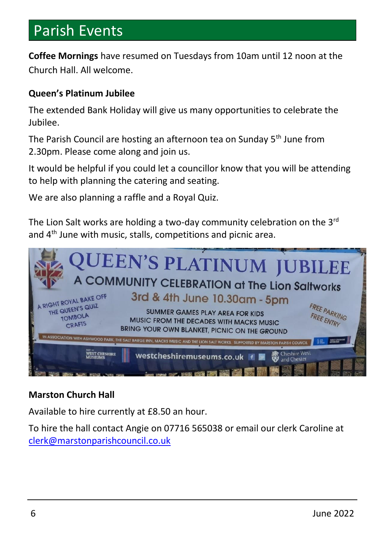### Parish Events

**Coffee Mornings** have resumed on Tuesdays from 10am until 12 noon at the Church Hall. All welcome.

#### **Queen's Platinum Jubilee**

The extended Bank Holiday will give us many opportunities to celebrate the Jubilee.

The Parish Council are hosting an afternoon tea on Sunday 5<sup>th</sup> June from 2.30pm. Please come along and join us.

It would be helpful if you could let a councillor know that you will be attending to help with planning the catering and seating.

We are also planning a raffle and a Royal Quiz.

The Lion Salt works are holding a two-day community celebration on the  $3<sup>rd</sup>$ and 4<sup>th</sup> June with music, stalls, competitions and picnic area.



#### **Marston Church Hall**

Available to hire currently at £8.50 an hour.

To hire the hall contact Angie on 07716 565038 or email our clerk Caroline at [clerk@marstonparishcouncil.co.uk](mailto:clerk@marstonparishcouncil.co.uk)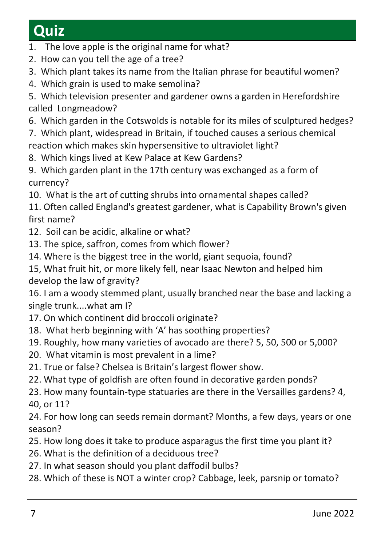## **Quiz**

- 1. The love apple is the original name for what?
- 2. How can you tell the age of a tree?
- 3. Which plant takes its name from the Italian phrase for beautiful women?
- 4. Which grain is used to make semolina?
- 5. Which television presenter and gardener owns a garden in Herefordshire called Longmeadow?
- 6. Which garden in the Cotswolds is notable for its miles of sculptured hedges?
- 7. Which plant, widespread in Britain, if touched causes a serious chemical reaction which makes skin hypersensitive to ultraviolet light?
- 8. Which kings lived at Kew Palace at Kew Gardens?
- 9. Which garden plant in the 17th century was exchanged as a form of currency?
- 10. What is the art of cutting shrubs into ornamental shapes called?
- 11. Often called England's greatest gardener, what is Capability Brown's given first name?
- 12. Soil can be acidic, alkaline or what?
- 13. The spice, saffron, comes from which flower?
- 14. Where is the biggest tree in the world, giant sequoia, found?
- 15, What fruit hit, or more likely fell, near Isaac Newton and helped him develop the law of gravity?

16. I am a woody stemmed plant, usually branched near the base and lacking a single trunk....what am I?

- 17. On which continent did broccoli originate?
- 18. What herb beginning with 'A' has soothing properties?
- 19. Roughly, how many varieties of avocado are there? 5, 50, 500 or 5,000?
- 20. What vitamin is most prevalent in a lime?
- 21. True or false? Chelsea is Britain's largest flower show.
- 22. What type of goldfish are often found in decorative garden ponds?
- 23. How many fountain-type statuaries are there in the Versailles gardens? 4, 40, or 11?

24. For how long can seeds remain dormant? Months, a few days, years or one season?

- 25. How long does it take to produce asparagus the first time you plant it?
- 26. What is the definition of a deciduous tree?
- 27. In what season should you plant daffodil bulbs?
- 28. Which of these is NOT a winter crop? Cabbage, leek, parsnip or tomato?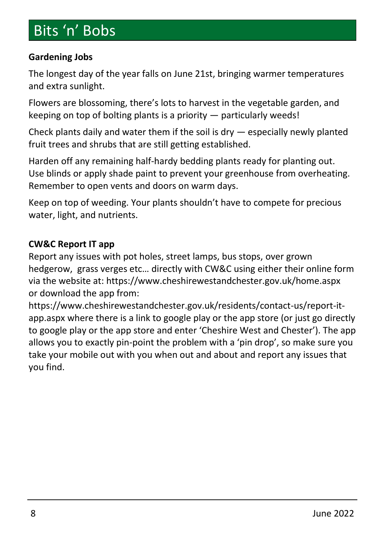### Bits 'n' Bobs

#### **Gardening Jobs**

The longest day of the year falls on June 21st, bringing warmer temperatures and extra sunlight.

Flowers are blossoming, there's lots to harvest in the vegetable garden, and keeping on top of bolting plants is a priority — particularly weeds!

Check plants daily and water them if the soil is dry — especially newly planted fruit trees and shrubs that are still getting established.

Harden off any remaining half-hardy bedding plants ready for planting out. Use blinds or apply shade paint to prevent your greenhouse from overheating. Remember to open vents and doors on warm days.

Keep on top of weeding. Your plants shouldn't have to compete for precious water, light, and nutrients.

#### **CW&C Report IT app**

Report any issues with pot holes, street lamps, bus stops, over grown hedgerow, grass verges etc… directly with CW&C using either their online form via the website at: https://www.cheshirewestandchester.gov.uk/home.aspx or download the app from:

https://www.cheshirewestandchester.gov.uk/residents/contact-us/report-itapp.aspx where there is a link to google play or the app store (or just go directly to google play or the app store and enter 'Cheshire West and Chester'). The app allows you to exactly pin-point the problem with a 'pin drop', so make sure you take your mobile out with you when out and about and report any issues that you find.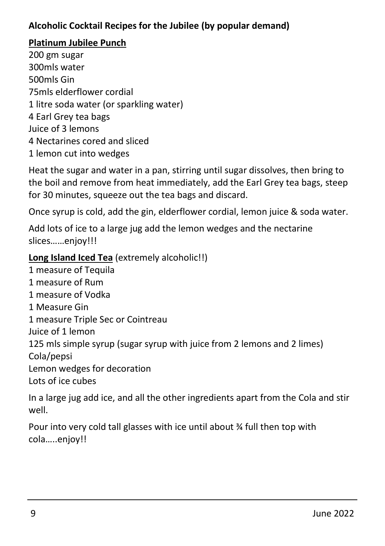#### **Alcoholic Cocktail Recipes for the Jubilee (by popular demand)**

#### **Platinum Jubilee Punch**

200 gm sugar 300mls water 500mls Gin 75mls elderflower cordial 1 litre soda water (or sparkling water) 4 Earl Grey tea bags Juice of 3 lemons 4 Nectarines cored and sliced 1 lemon cut into wedges

Heat the sugar and water in a pan, stirring until sugar dissolves, then bring to the boil and remove from heat immediately, add the Earl Grey tea bags, steep for 30 minutes, squeeze out the tea bags and discard.

Once syrup is cold, add the gin, elderflower cordial, lemon juice & soda water.

Add lots of ice to a large jug add the lemon wedges and the nectarine slices……enjoy!!!

#### **Long Island Iced Tea** (extremely alcoholic!!)

1 measure of Tequila 1 measure of Rum 1 measure of Vodka 1 Measure Gin 1 measure Triple Sec or Cointreau Juice of 1 lemon 125 mls simple syrup (sugar syrup with juice from 2 lemons and 2 limes) Cola/pepsi Lemon wedges for decoration Lots of ice cubes

In a large jug add ice, and all the other ingredients apart from the Cola and stir well.

Pour into very cold tall glasses with ice until about ¾ full then top with cola…..enjoy!!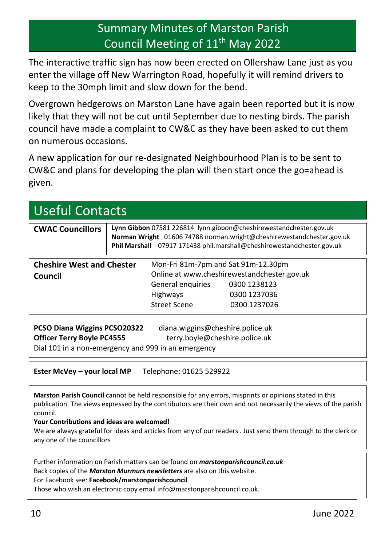### Summary Minutes of Marston Parish Council Meeting of 11<sup>th</sup> May 2022

The interactive traffic sign has now been erected on Ollershaw Lane just as you enter the village off New Warrington Road, hopefully it will remind drivers to keep to the 30mph limit and slow down for the bend.

Overgrown hedgerows on Marston Lane have again been reported but it is now likely that they will not be cut until September due to nesting birds. The parish council have made a complaint to CW&C as they have been asked to cut them on numerous occasions.

A new application for our re-designated Neighbourhood Plan is to be sent to CW&C and plans for developing the plan will then start once the go=ahead is given.

| Useful Contacts                                                                                                                                                                                |                                                                                                                                                                                                                       |                                                                                             |                                                                                             |  |
|------------------------------------------------------------------------------------------------------------------------------------------------------------------------------------------------|-----------------------------------------------------------------------------------------------------------------------------------------------------------------------------------------------------------------------|---------------------------------------------------------------------------------------------|---------------------------------------------------------------------------------------------|--|
| <b>CWAC Councillors</b>                                                                                                                                                                        | Lynn Gibbon 07581 226814 lynn.gibbon@cheshirewestandchester.gov.uk<br>Norman Wright 01606 74788 norman.wright@cheshirewestandchester.gov.uk<br>Phil Marshall 07917 171438 phil.marshall@cheshirewestandchester.gov.uk |                                                                                             |                                                                                             |  |
| <b>Cheshire West and Chester</b><br>Council                                                                                                                                                    |                                                                                                                                                                                                                       | Mon-Fri 81m-7pm and Sat 91m-12.30pm<br>General enquiries<br><b>Highways</b><br>Street Scene | Online at www.cheshirewestandchester.gov.uk<br>0300 1238123<br>0300 1237036<br>0300 1237026 |  |
| PCSO Diana Wiggins PCSO20322<br>diana.wiggins@cheshire.police.uk<br>terry.boyle@cheshire.police.uk<br><b>Officer Terry Boyle PC4555</b><br>Dial 101 in a non-emergency and 999 in an emergency |                                                                                                                                                                                                                       |                                                                                             |                                                                                             |  |
| Ester McVey – your local MP<br>Telephone: 01625 529922                                                                                                                                         |                                                                                                                                                                                                                       |                                                                                             |                                                                                             |  |

**Marston Parish Council** cannot be held responsible for any errors, misprints or opinions stated in this publication. The views expressed by the contributors are their own and not necessarily the views of the parish council.

**Your Contributions and ideas are welcomed!**

We are always grateful for ideas and articles from any of our readers . Just send them through to the clerk or any one of the councillors

Further information on Parish matters can be found on *marstonparishcouncil.co.uk*

Back copies of the *Marston Murmurs newsletters* are also on this website.

For Facebook see: **Facebook/marstonparishcouncil**

Those who wish an electronic copy email info@marstonparishcouncil.co.uk.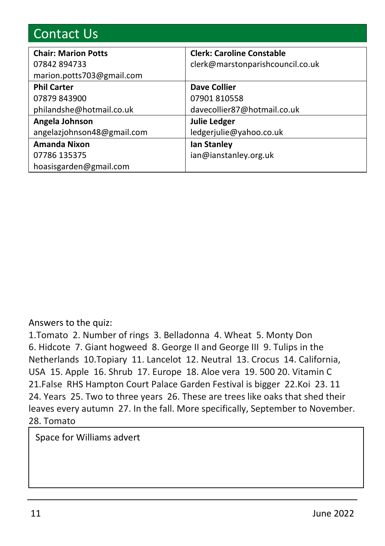| <b>Contact Us</b>          |                                  |  |  |  |
|----------------------------|----------------------------------|--|--|--|
| <b>Chair: Marion Potts</b> | <b>Clerk: Caroline Constable</b> |  |  |  |
| 07842894733                | clerk@marstonparishcouncil.co.uk |  |  |  |
| marion.potts703@gmail.com  |                                  |  |  |  |
| <b>Phil Carter</b>         | Dave Collier                     |  |  |  |
| 07879 843900               | 07901810558                      |  |  |  |
| philandshe@hotmail.co.uk   | davecollier87@hotmail.co.uk      |  |  |  |
| Angela Johnson             | <b>Julie Ledger</b>              |  |  |  |
| angelaziohnson48@gmail.com | ledgerjulie@yahoo.co.uk          |  |  |  |
| <b>Amanda Nixon</b>        | <b>Ian Stanley</b>               |  |  |  |
| 07786 135375               | ian@ianstanley.org.uk            |  |  |  |
| hoasisgarden@gmail.com     |                                  |  |  |  |

#### Answers to the quiz:

1.Tomato 2. Number of rings 3. Belladonna 4. Wheat 5. Monty Don 6. Hidcote 7. Giant hogweed 8. George II and George III 9. Tulips in the Netherlands 10.Topiary 11. Lancelot 12. Neutral 13. Crocus 14. California, USA 15. Apple 16. Shrub 17. Europe 18. Aloe vera 19. 500 20. Vitamin C 21.False RHS Hampton Court Palace Garden Festival is bigger 22.Koi 23. 11 24. Years 25. Two to three years 26. These are trees like oaks that shed their leaves every autumn 27. In the fall. More specifically, September to November. 28. Tomato

Space for Williams advert